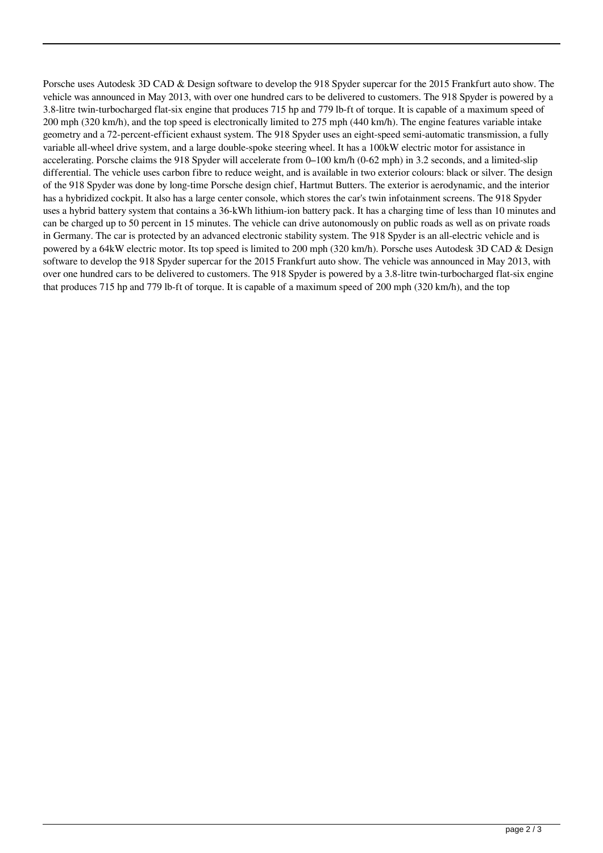Porsche uses Autodesk 3D CAD & Design software to develop the 918 Spyder supercar for the 2015 Frankfurt auto show. The vehicle was announced in May 2013, with over one hundred cars to be delivered to customers. The 918 Spyder is powered by a 3.8-litre twin-turbocharged flat-six engine that produces 715 hp and 779 lb-ft of torque. It is capable of a maximum speed of 200 mph (320 km/h), and the top speed is electronically limited to 275 mph (440 km/h). The engine features variable intake geometry and a 72-percent-efficient exhaust system. The 918 Spyder uses an eight-speed semi-automatic transmission, a fully variable all-wheel drive system, and a large double-spoke steering wheel. It has a 100kW electric motor for assistance in accelerating. Porsche claims the 918 Spyder will accelerate from 0–100 km/h (0-62 mph) in 3.2 seconds, and a limited-slip differential. The vehicle uses carbon fibre to reduce weight, and is available in two exterior colours: black or silver. The design of the 918 Spyder was done by long-time Porsche design chief, Hartmut Butters. The exterior is aerodynamic, and the interior has a hybridized cockpit. It also has a large center console, which stores the car's twin infotainment screens. The 918 Spyder uses a hybrid battery system that contains a 36-kWh lithium-ion battery pack. It has a charging time of less than 10 minutes and can be charged up to 50 percent in 15 minutes. The vehicle can drive autonomously on public roads as well as on private roads in Germany. The car is protected by an advanced electronic stability system. The 918 Spyder is an all-electric vehicle and is powered by a 64kW electric motor. Its top speed is limited to 200 mph (320 km/h). Porsche uses Autodesk 3D CAD & Design software to develop the 918 Spyder supercar for the 2015 Frankfurt auto show. The vehicle was announced in May 2013, with over one hundred cars to be delivered to customers. The 918 Spyder is powered by a 3.8-litre twin-turbocharged flat-six engine that produces 715 hp and 779 lb-ft of torque. It is capable of a maximum speed of 200 mph (320 km/h), and the top